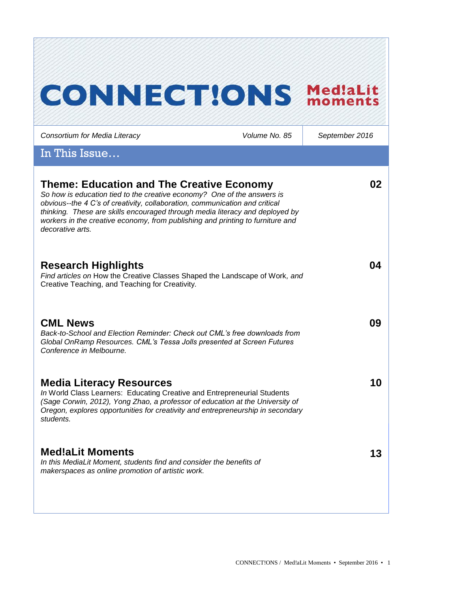# **CONNECT!ONS Med!aLit**

| Consortium for Media Literacy                                                                                                                                                                                                                                                                                                                                                                    | Volume No. 85 | September 2016 |
|--------------------------------------------------------------------------------------------------------------------------------------------------------------------------------------------------------------------------------------------------------------------------------------------------------------------------------------------------------------------------------------------------|---------------|----------------|
| In This Issue                                                                                                                                                                                                                                                                                                                                                                                    |               |                |
| <b>Theme: Education and The Creative Economy</b><br>So how is education tied to the creative economy? One of the answers is<br>obvious--the 4 C's of creativity, collaboration, communication and critical<br>thinking. These are skills encouraged through media literacy and deployed by<br>workers in the creative economy, from publishing and printing to furniture and<br>decorative arts. |               | 02             |
| <b>Research Highlights</b><br>Find articles on How the Creative Classes Shaped the Landscape of Work, and<br>Creative Teaching, and Teaching for Creativity.                                                                                                                                                                                                                                     |               | 04             |
| <b>CML News</b><br>Back-to-School and Election Reminder: Check out CML's free downloads from<br>Global OnRamp Resources. CML's Tessa Jolls presented at Screen Futures<br>Conference in Melbourne.                                                                                                                                                                                               |               | 09             |
| <b>Media Literacy Resources</b><br>In World Class Learners: Educating Creative and Entrepreneurial Students<br>(Sage Corwin, 2012), Yong Zhao, a professor of education at the University of<br>Oregon, explores opportunities for creativity and entrepreneurship in secondary<br>students.                                                                                                     |               | 10             |
| <b>Med!aLit Moments</b><br>In this MediaLit Moment, students find and consider the benefits of<br>makerspaces as online promotion of artistic work.                                                                                                                                                                                                                                              |               | 13             |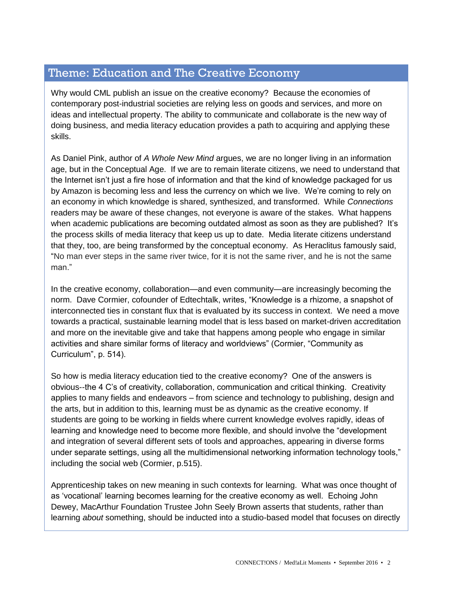# Theme: Education and The Creative Economy

Why would CML publish an issue on the creative economy? Because the economies of contemporary post-industrial societies are relying less on goods and services, and more on ideas and intellectual property. The ability to communicate and collaborate is the new way of doing business, and media literacy education provides a path to acquiring and applying these skills.

As Daniel Pink, author of *A Whole New Mind* argues, we are no longer living in an information age, but in the Conceptual Age. If we are to remain literate citizens, we need to understand that the Internet isn't just a fire hose of information and that the kind of knowledge packaged for us by Amazon is becoming less and less the currency on which we live. We're coming to rely on an economy in which knowledge is shared, synthesized, and transformed. While *Connections*  readers may be aware of these changes, not everyone is aware of the stakes. What happens when academic publications are becoming outdated almost as soon as they are published? It's the process skills of media literacy that keep us up to date. Media literate citizens understand that they, too, are being transformed by the conceptual economy. As Heraclitus famously said, "No man ever steps in the same river twice, for it is not the same river, and he is not the same man."

In the creative economy, collaboration—and even community—are increasingly becoming the norm. Dave Cormier, cofounder of Edtechtalk, writes, "Knowledge is a rhizome, a snapshot of interconnected ties in constant flux that is evaluated by its success in context. We need a move towards a practical, sustainable learning model that is less based on market-driven accreditation and more on the inevitable give and take that happens among people who engage in similar activities and share similar forms of literacy and worldviews" (Cormier, "Community as Curriculum", p. 514).

So how is media literacy education tied to the creative economy? One of the answers is obvious--the 4 C's of creativity, collaboration, communication and critical thinking. Creativity applies to many fields and endeavors – from science and technology to publishing, design and the arts, but in addition to this, learning must be as dynamic as the creative economy. If students are going to be working in fields where current knowledge evolves rapidly, ideas of learning and knowledge need to become more flexible, and should involve the "development and integration of several different sets of tools and approaches, appearing in diverse forms under separate settings, using all the multidimensional networking information technology tools," including the social web (Cormier, p.515).

Apprenticeship takes on new meaning in such contexts for learning. What was once thought of as 'vocational' learning becomes learning for the creative economy as well. Echoing John Dewey, MacArthur Foundation Trustee John Seely Brown asserts that students, rather than learning *about* something, should be inducted into a studio-based model that focuses on directly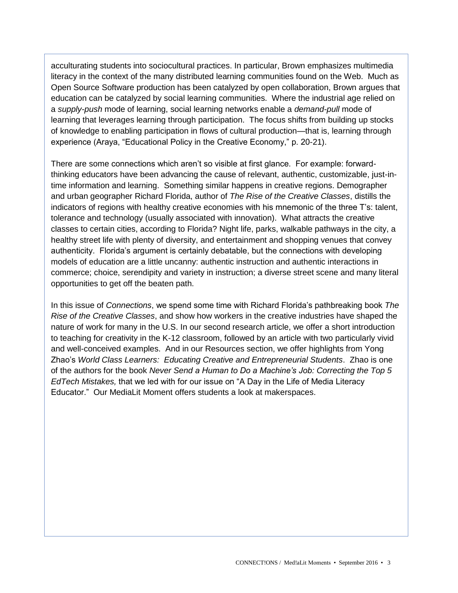acculturating students into sociocultural practices. In particular, Brown emphasizes multimedia literacy in the context of the many distributed learning communities found on the Web. Much as Open Source Software production has been catalyzed by open collaboration, Brown argues that education can be catalyzed by social learning communities. Where the industrial age relied on a *supply-push* mode of learning, social learning networks enable a *demand-pull* mode of learning that leverages learning through participation. The focus shifts from building up stocks of knowledge to enabling participation in flows of cultural production—that is, learning through experience (Araya, "Educational Policy in the Creative Economy," p. 20-21).

There are some connections which aren't so visible at first glance. For example: forwardthinking educators have been advancing the cause of relevant, authentic, customizable, just-intime information and learning. Something similar happens in creative regions. Demographer and urban geographer Richard Florida, author of *The Rise of the Creative Classes*, distills the indicators of regions with healthy creative economies with his mnemonic of the three T's: talent, tolerance and technology (usually associated with innovation). What attracts the creative classes to certain cities, according to Florida? Night life, parks, walkable pathways in the city, a healthy street life with plenty of diversity, and entertainment and shopping venues that convey authenticity. Florida's argument is certainly debatable, but the connections with developing models of education are a little uncanny: authentic instruction and authentic interactions in commerce; choice, serendipity and variety in instruction; a diverse street scene and many literal opportunities to get off the beaten path.

In this issue of *Connections*, we spend some time with Richard Florida's pathbreaking book *The Rise of the Creative Classes*, and show how workers in the creative industries have shaped the nature of work for many in the U.S. In our second research article, we offer a short introduction to teaching for creativity in the K-12 classroom, followed by an article with two particularly vivid and well-conceived examples. And in our Resources section, we offer highlights from Yong Zhao's *World Class Learners: Educating Creative and Entrepreneurial Students*. Zhao is one of the authors for the book *Never Send a Human to Do a Machine's Job: Correcting the Top 5 EdTech Mistakes,* that we led with for our issue on "A Day in the Life of Media Literacy Educator." Our MediaLit Moment offers students a look at makerspaces.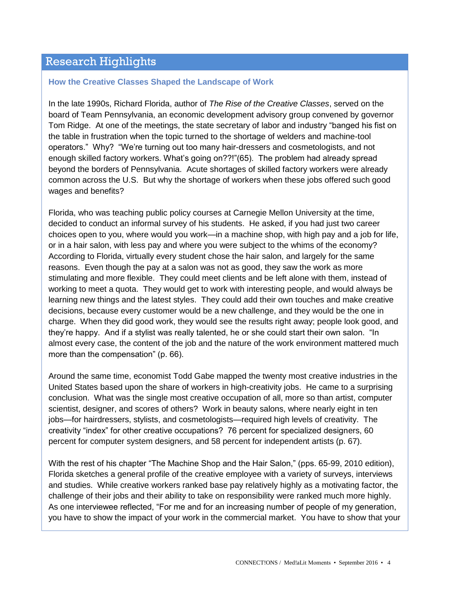# Research Highlights

#### **How the Creative Classes Shaped the Landscape of Work**

In the late 1990s, Richard Florida, author of *The Rise of the Creative Classes*, served on the board of Team Pennsylvania, an economic development advisory group convened by governor Tom Ridge. At one of the meetings, the state secretary of labor and industry "banged his fist on the table in frustration when the topic turned to the shortage of welders and machine-tool operators." Why? "We're turning out too many hair-dressers and cosmetologists, and not enough skilled factory workers. What's going on??!"(65). The problem had already spread beyond the borders of Pennsylvania. Acute shortages of skilled factory workers were already common across the U.S. But why the shortage of workers when these jobs offered such good wages and benefits?

Florida, who was teaching public policy courses at Carnegie Mellon University at the time, decided to conduct an informal survey of his students. He asked, if you had just two career choices open to you, where would you work—in a machine shop, with high pay and a job for life, or in a hair salon, with less pay and where you were subject to the whims of the economy? According to Florida, virtually every student chose the hair salon, and largely for the same reasons. Even though the pay at a salon was not as good, they saw the work as more stimulating and more flexible. They could meet clients and be left alone with them, instead of working to meet a quota. They would get to work with interesting people, and would always be learning new things and the latest styles. They could add their own touches and make creative decisions, because every customer would be a new challenge, and they would be the one in charge. When they did good work, they would see the results right away; people look good, and they're happy. And if a stylist was really talented, he or she could start their own salon. "In almost every case, the content of the job and the nature of the work environment mattered much more than the compensation" (p. 66).

Around the same time, economist Todd Gabe mapped the twenty most creative industries in the United States based upon the share of workers in high-creativity jobs. He came to a surprising conclusion. What was the single most creative occupation of all, more so than artist, computer scientist, designer, and scores of others? Work in beauty salons, where nearly eight in ten jobs—for hairdressers, stylists, and cosmetologists—required high levels of creativity. The creativity "index" for other creative occupations? 76 percent for specialized designers, 60 percent for computer system designers, and 58 percent for independent artists (p. 67).

With the rest of his chapter "The Machine Shop and the Hair Salon," (pps. 65-99, 2010 edition), Florida sketches a general profile of the creative employee with a variety of surveys, interviews and studies. While creative workers ranked base pay relatively highly as a motivating factor, the challenge of their jobs and their ability to take on responsibility were ranked much more highly. As one interviewee reflected, "For me and for an increasing number of people of my generation, you have to show the impact of your work in the commercial market. You have to show that your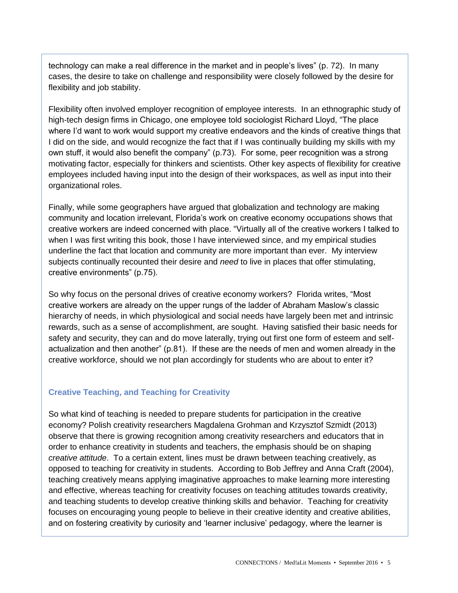technology can make a real difference in the market and in people's lives" (p. 72). In many cases, the desire to take on challenge and responsibility were closely followed by the desire for flexibility and job stability.

Flexibility often involved employer recognition of employee interests. In an ethnographic study of high-tech design firms in Chicago, one employee told sociologist Richard Lloyd, "The place where I'd want to work would support my creative endeavors and the kinds of creative things that I did on the side, and would recognize the fact that if I was continually building my skills with my own stuff, it would also benefit the company" (p.73). For some, peer recognition was a strong motivating factor, especially for thinkers and scientists. Other key aspects of flexibility for creative employees included having input into the design of their workspaces, as well as input into their organizational roles.

Finally, while some geographers have argued that globalization and technology are making community and location irrelevant, Florida's work on creative economy occupations shows that creative workers are indeed concerned with place. "Virtually all of the creative workers I talked to when I was first writing this book, those I have interviewed since, and my empirical studies underline the fact that location and community are more important than ever. My interview subjects continually recounted their desire and *need* to live in places that offer stimulating, creative environments" (p.75).

So why focus on the personal drives of creative economy workers? Florida writes, "Most creative workers are already on the upper rungs of the ladder of Abraham Maslow's classic hierarchy of needs, in which physiological and social needs have largely been met and intrinsic rewards, such as a sense of accomplishment, are sought. Having satisfied their basic needs for safety and security, they can and do move laterally, trying out first one form of esteem and selfactualization and then another" (p.81). If these are the needs of men and women already in the creative workforce, should we not plan accordingly for students who are about to enter it?

#### **Creative Teaching, and Teaching for Creativity**

So what kind of teaching is needed to prepare students for participation in the creative economy? Polish creativity researchers Magdalena Grohman and Krzysztof Szmidt (2013) observe that there is growing recognition among creativity researchers and educators that in order to enhance creativity in students and teachers, the emphasis should be on shaping *creative attitude*. To a certain extent, lines must be drawn between teaching creatively, as opposed to teaching for creativity in students. According to Bob Jeffrey and Anna Craft (2004), teaching creatively means applying imaginative approaches to make learning more interesting and effective, whereas teaching for creativity focuses on teaching attitudes towards creativity, and teaching students to develop creative thinking skills and behavior. Teaching for creativity focuses on encouraging young people to believe in their creative identity and creative abilities, and on fostering creativity by curiosity and 'learner inclusive' pedagogy, where the learner is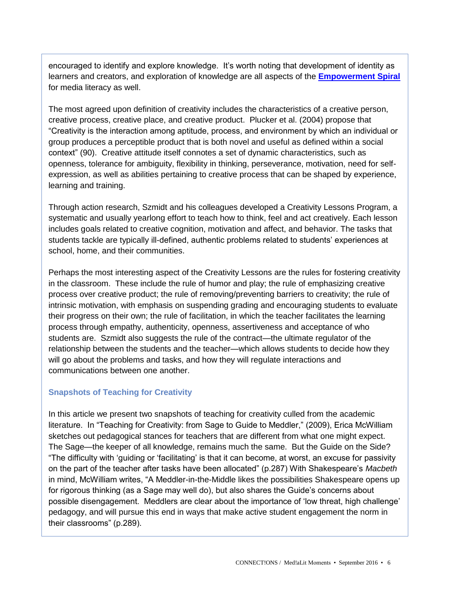encouraged to identify and explore knowledge. It's worth noting that development of identity as learners and creators, and exploration of knowledge are all aspects of the **[Empowerment Spiral](http://www.medialit.org/reading-room/empowerment-spiral)** for media literacy as well.

The most agreed upon definition of creativity includes the characteristics of a creative person, creative process, creative place, and creative product. Plucker et al. (2004) propose that "Creativity is the interaction among aptitude, process, and environment by which an individual or group produces a perceptible product that is both novel and useful as defined within a social context" (90). Creative attitude itself connotes a set of dynamic characteristics, such as openness, tolerance for ambiguity, flexibility in thinking, perseverance, motivation, need for selfexpression, as well as abilities pertaining to creative process that can be shaped by experience, learning and training.

Through action research, Szmidt and his colleagues developed a Creativity Lessons Program, a systematic and usually yearlong effort to teach how to think, feel and act creatively. Each lesson includes goals related to creative cognition, motivation and affect, and behavior. The tasks that students tackle are typically ill-defined, authentic problems related to students' experiences at school, home, and their communities.

Perhaps the most interesting aspect of the Creativity Lessons are the rules for fostering creativity in the classroom. These include the rule of humor and play; the rule of emphasizing creative process over creative product; the rule of removing/preventing barriers to creativity; the rule of intrinsic motivation, with emphasis on suspending grading and encouraging students to evaluate their progress on their own; the rule of facilitation, in which the teacher facilitates the learning process through empathy, authenticity, openness, assertiveness and acceptance of who students are. Szmidt also suggests the rule of the contract—the ultimate regulator of the relationship between the students and the teacher—which allows students to decide how they will go about the problems and tasks, and how they will regulate interactions and communications between one another.

## **Snapshots of Teaching for Creativity**

In this article we present two snapshots of teaching for creativity culled from the academic literature. In "Teaching for Creativity: from Sage to Guide to Meddler," (2009), Erica McWilliam sketches out pedagogical stances for teachers that are different from what one might expect. The Sage—the keeper of all knowledge, remains much the same. But the Guide on the Side? "The difficulty with 'guiding or 'facilitating' is that it can become, at worst, an excuse for passivity on the part of the teacher after tasks have been allocated" (p.287) With Shakespeare's *Macbeth* in mind, McWilliam writes, "A Meddler-in-the-Middle likes the possibilities Shakespeare opens up for rigorous thinking (as a Sage may well do), but also shares the Guide's concerns about possible disengagement. Meddlers are clear about the importance of 'low threat, high challenge' pedagogy, and will pursue this end in ways that make active student engagement the norm in their classrooms" (p.289).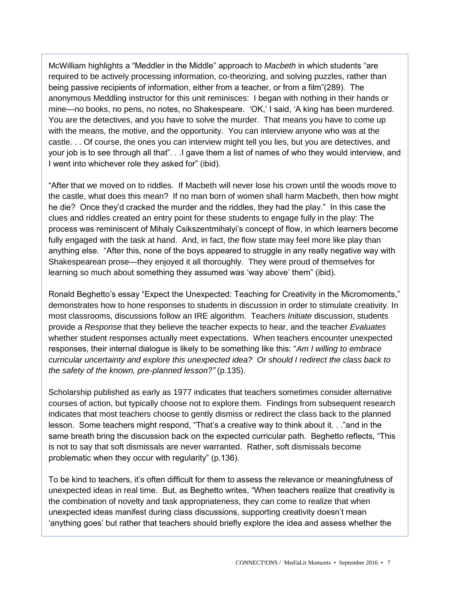McWilliam highlights a "Meddler in the Middle" approach to *Macbeth* in which students "are required to be actively processing information, co-theorizing, and solving puzzles, rather than being passive recipients of information, either from a teacher, or from a film"(289). The anonymous Meddling instructor for this unit reminisces: I began with nothing in their hands or mine—no books, no pens, no notes, no Shakespeare. 'OK,' I said, 'A king has been murdered. You are the detectives, and you have to solve the murder. That means you have to come up with the means, the motive, and the opportunity. You can interview anyone who was at the castle. . . Of course, the ones you can interview might tell you lies, but you are detectives, and your job is to see through all that". . .I gave them a list of names of who they would interview, and I went into whichever role they asked for" (ibid).

"After that we moved on to riddles. If Macbeth will never lose his crown until the woods move to the castle, what does this mean? If no man born of women shall harm Macbeth, then how might he die? Once they'd cracked the murder and the riddles, they had the play." In this case the clues and riddles created an entry point for these students to engage fully in the play: The process was reminiscent of Mihaly Csikszentmihalyi's concept of flow, in which learners become fully engaged with the task at hand. And, in fact, the flow state may feel more like play than anything else. "After this, none of the boys appeared to struggle in any really negative way with Shakespearean prose—they enjoyed it all thoroughly. They were proud of themselves for learning so much about something they assumed was 'way above' them" (ibid).

Ronald Beghetto's essay "Expect the Unexpected: Teaching for Creativity in the Micromoments," demonstrates how to hone responses to students in discussion in order to stimulate creativity. In most classrooms, discussions follow an IRE algorithm. Teachers *Initiate* discussion, students provide a *Response* that they believe the teacher expects to hear, and the teacher *Evaluates* whether student responses actually meet expectations. When teachers encounter unexpected responses, their internal dialogue is likely to be something like this: "*Am I willing to embrace curricular uncertainty and explore this unexpected idea? Or should I redirect the class back to the safety of the known, pre-planned lesson?"* (p.135).

Scholarship published as early as 1977 indicates that teachers sometimes consider alternative courses of action, but typically choose not to explore them. Findings from subsequent research indicates that most teachers choose to gently dismiss or redirect the class back to the planned lesson. Some teachers might respond, "That's a creative way to think about it. . ."and in the same breath bring the discussion back on the expected curricular path. Beghetto reflects, "This is not to say that soft dismissals are never warranted. Rather, soft dismissals become problematic when they occur with regularity" (p.136).

To be kind to teachers, it's often difficult for them to assess the relevance or meaningfulness of unexpected ideas in real time. But, as Beghetto writes, "When teachers realize that creativity is the combination of novelty and task appropriateness, they can come to realize that when unexpected ideas manifest during class discussions, supporting creativity doesn't mean 'anything goes' but rather that teachers should briefly explore the idea and assess whether the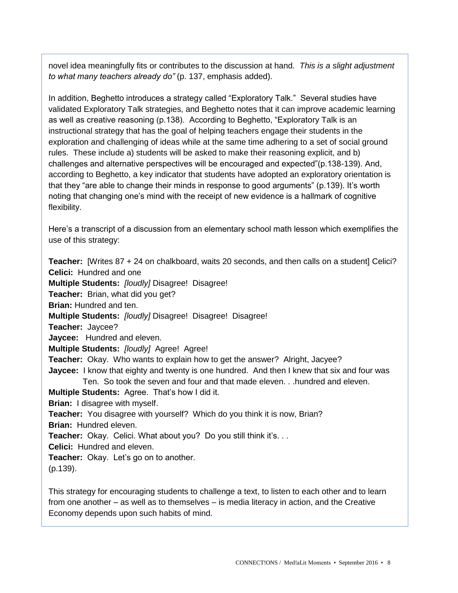novel idea meaningfully fits or contributes to the discussion at hand. *This is a slight adjustment to what many teachers already do"* (p. 137, emphasis added).

In addition, Beghetto introduces a strategy called "Exploratory Talk." Several studies have validated Exploratory Talk strategies, and Beghetto notes that it can improve academic learning as well as creative reasoning (p.138). According to Beghetto, "Exploratory Talk is an instructional strategy that has the goal of helping teachers engage their students in the exploration and challenging of ideas while at the same time adhering to a set of social ground rules. These include a) students will be asked to make their reasoning explicit, and b) challenges and alternative perspectives will be encouraged and expected"(p.138-139). And, according to Beghetto, a key indicator that students have adopted an exploratory orientation is that they "are able to change their minds in response to good arguments" (p.139). It's worth noting that changing one's mind with the receipt of new evidence is a hallmark of cognitive flexibility.

Here's a transcript of a discussion from an elementary school math lesson which exemplifies the use of this strategy:

**Teacher:** [Writes 87 + 24 on chalkboard, waits 20 seconds, and then calls on a student] Celici? **Celici:** Hundred and one **Multiple Students:** *[loudly]* Disagree! Disagree! **Teacher:** Brian, what did you get? **Brian:** Hundred and ten. **Multiple Students:** *[loudly]* Disagree! Disagree! Disagree! **Teacher:** Jaycee? **Jaycee:** Hundred and eleven. **Multiple Students:** *[loudly]* Agree! Agree! **Teacher:** Okay. Who wants to explain how to get the answer? Alright, Jacyee? **Jaycee:** I know that eighty and twenty is one hundred. And then I knew that six and four was Ten. So took the seven and four and that made eleven. . .hundred and eleven. **Multiple Students:** Agree. That's how I did it. **Brian:** I disagree with myself. **Teacher:** You disagree with yourself? Which do you think it is now, Brian? **Brian:** Hundred eleven. **Teacher:** Okay. Celici. What about you? Do you still think it's. . . **Celici:** Hundred and eleven. **Teacher:** Okay. Let's go on to another. (p.139).

This strategy for encouraging students to challenge a text, to listen to each other and to learn from one another – as well as to themselves – is media literacy in action, and the Creative Economy depends upon such habits of mind.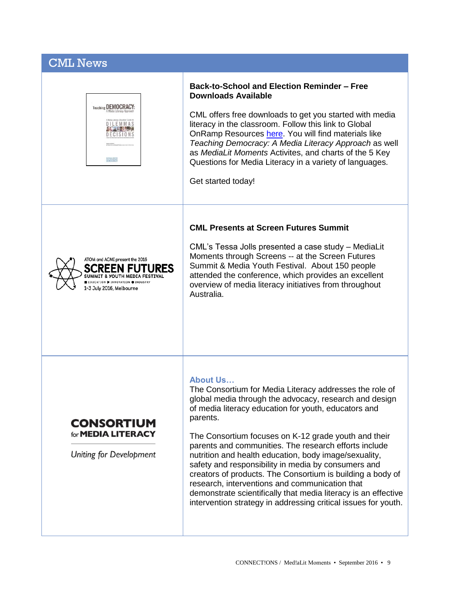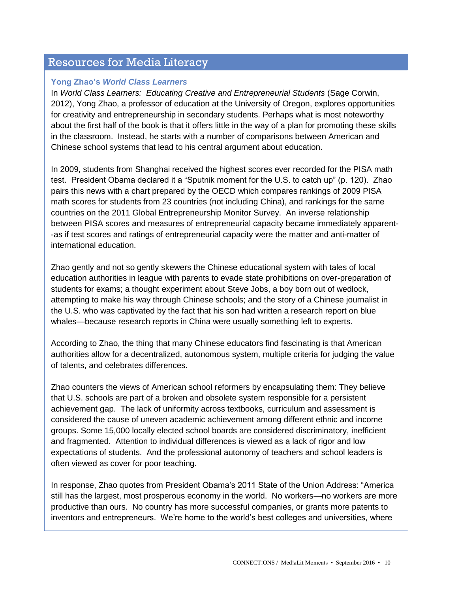# Resources for Media Literacy

#### **Yong Zhao's** *World Class Learners*

In *World Class Learners: Educating Creative and Entrepreneurial Students (Sage Corwin,* 2012), Yong Zhao, a professor of education at the University of Oregon, explores opportunities for creativity and entrepreneurship in secondary students. Perhaps what is most noteworthy about the first half of the book is that it offers little in the way of a plan for promoting these skills in the classroom. Instead, he starts with a number of comparisons between American and Chinese school systems that lead to his central argument about education.

In 2009, students from Shanghai received the highest scores ever recorded for the PISA math test. President Obama declared it a "Sputnik moment for the U.S. to catch up" (p. 120). Zhao pairs this news with a chart prepared by the OECD which compares rankings of 2009 PISA math scores for students from 23 countries (not including China), and rankings for the same countries on the 2011 Global Entrepreneurship Monitor Survey. An inverse relationship between PISA scores and measures of entrepreneurial capacity became immediately apparent- -as if test scores and ratings of entrepreneurial capacity were the matter and anti-matter of international education.

Zhao gently and not so gently skewers the Chinese educational system with tales of local education authorities in league with parents to evade state prohibitions on over-preparation of students for exams; a thought experiment about Steve Jobs, a boy born out of wedlock, attempting to make his way through Chinese schools; and the story of a Chinese journalist in the U.S. who was captivated by the fact that his son had written a research report on blue whales—because research reports in China were usually something left to experts.

According to Zhao, the thing that many Chinese educators find fascinating is that American authorities allow for a decentralized, autonomous system, multiple criteria for judging the value of talents, and celebrates differences.

Zhao counters the views of American school reformers by encapsulating them: They believe that U.S. schools are part of a broken and obsolete system responsible for a persistent achievement gap. The lack of uniformity across textbooks, curriculum and assessment is considered the cause of uneven academic achievement among different ethnic and income groups. Some 15,000 locally elected school boards are considered discriminatory, inefficient and fragmented. Attention to individual differences is viewed as a lack of rigor and low expectations of students. And the professional autonomy of teachers and school leaders is often viewed as cover for poor teaching.

In response, Zhao quotes from President Obama's 2011 State of the Union Address: "America still has the largest, most prosperous economy in the world. No workers—no workers are more productive than ours. No country has more successful companies, or grants more patents to inventors and entrepreneurs. We're home to the world's best colleges and universities, where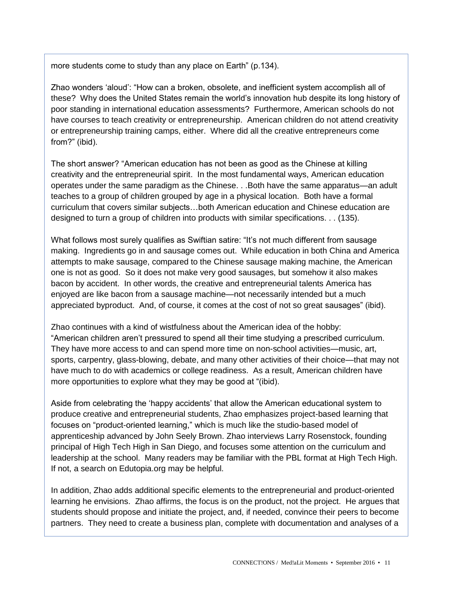more students come to study than any place on Earth" (p.134).

Zhao wonders 'aloud': "How can a broken, obsolete, and inefficient system accomplish all of these? Why does the United States remain the world's innovation hub despite its long history of poor standing in international education assessments? Furthermore, American schools do not have courses to teach creativity or entrepreneurship. American children do not attend creativity or entrepreneurship training camps, either. Where did all the creative entrepreneurs come from?" (ibid).

The short answer? "American education has not been as good as the Chinese at killing creativity and the entrepreneurial spirit. In the most fundamental ways, American education operates under the same paradigm as the Chinese. . .Both have the same apparatus—an adult teaches to a group of children grouped by age in a physical location. Both have a formal curriculum that covers similar subjects…both American education and Chinese education are designed to turn a group of children into products with similar specifications. . . (135).

What follows most surely qualifies as Swiftian satire: "It's not much different from sausage making. Ingredients go in and sausage comes out. While education in both China and America attempts to make sausage, compared to the Chinese sausage making machine, the American one is not as good. So it does not make very good sausages, but somehow it also makes bacon by accident. In other words, the creative and entrepreneurial talents America has enjoyed are like bacon from a sausage machine—not necessarily intended but a much appreciated byproduct. And, of course, it comes at the cost of not so great sausages" (ibid).

Zhao continues with a kind of wistfulness about the American idea of the hobby: "American children aren't pressured to spend all their time studying a prescribed curriculum. They have more access to and can spend more time on non-school activities—music, art, sports, carpentry, glass-blowing, debate, and many other activities of their choice—that may not have much to do with academics or college readiness. As a result, American children have more opportunities to explore what they may be good at "(ibid).

Aside from celebrating the 'happy accidents' that allow the American educational system to produce creative and entrepreneurial students, Zhao emphasizes project-based learning that focuses on "product-oriented learning," which is much like the studio-based model of apprenticeship advanced by John Seely Brown. Zhao interviews Larry Rosenstock, founding principal of High Tech High in San Diego, and focuses some attention on the curriculum and leadership at the school. Many readers may be familiar with the PBL format at High Tech High. If not, a search on Edutopia.org may be helpful.

In addition, Zhao adds additional specific elements to the entrepreneurial and product-oriented learning he envisions. Zhao affirms, the focus is on the product, not the project. He argues that students should propose and initiate the project, and, if needed, convince their peers to become partners. They need to create a business plan, complete with documentation and analyses of a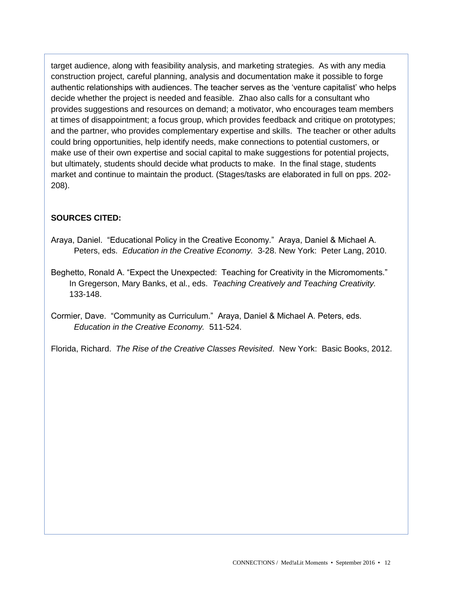target audience, along with feasibility analysis, and marketing strategies. As with any media construction project, careful planning, analysis and documentation make it possible to forge authentic relationships with audiences. The teacher serves as the 'venture capitalist' who helps decide whether the project is needed and feasible. Zhao also calls for a consultant who provides suggestions and resources on demand; a motivator, who encourages team members at times of disappointment; a focus group, which provides feedback and critique on prototypes; and the partner, who provides complementary expertise and skills. The teacher or other adults could bring opportunities, help identify needs, make connections to potential customers, or make use of their own expertise and social capital to make suggestions for potential projects, but ultimately, students should decide what products to make. In the final stage, students market and continue to maintain the product. (Stages/tasks are elaborated in full on pps. 202- 208).

## **SOURCES CITED:**

- Araya, Daniel. "Educational Policy in the Creative Economy." Araya, Daniel & Michael A. Peters, eds. *Education in the Creative Economy.* 3-28. New York: Peter Lang, 2010.
- Beghetto, Ronald A. "Expect the Unexpected: Teaching for Creativity in the Micromoments." In Gregerson, Mary Banks, et al., eds. *Teaching Creatively and Teaching Creativity.* 133-148.

Cormier, Dave. "Community as Curriculum." Araya, Daniel & Michael A. Peters, eds. *Education in the Creative Economy.* 511-524.

Florida, Richard. *The Rise of the Creative Classes Revisited*. New York: Basic Books, 2012.